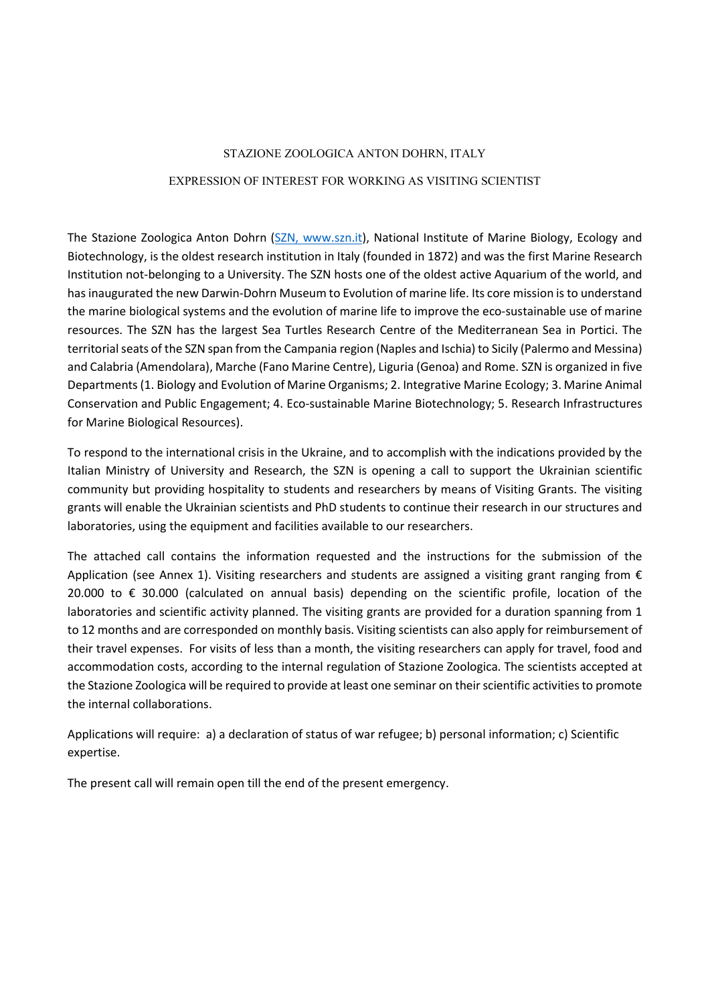#### STAZIONE ZOOLOGICA ANTON DOHRN, ITALY

### EXPRESSION OF INTEREST FOR WORKING AS VISITING SCIENTIST

The Stazione Zoologica Anton Dohrn (SZN, www.szn.it), National Institute of Marine Biology, Ecology and Biotechnology, is the oldest research institution in Italy (founded in 1872) and was the first Marine Research Institution not-belonging to a University. The SZN hosts one of the oldest active Aquarium of the world, and has inaugurated the new Darwin-Dohrn Museum to Evolution of marine life. Its core mission is to understand the marine biological systems and the evolution of marine life to improve the eco-sustainable use of marine resources. The SZN has the largest Sea Turtles Research Centre of the Mediterranean Sea in Portici. The territorial seats of the SZN span from the Campania region (Naples and Ischia) to Sicily (Palermo and Messina) and Calabria (Amendolara), Marche (Fano Marine Centre), Liguria (Genoa) and Rome. SZN is organized in five Departments (1. Biology and Evolution of Marine Organisms; 2. Integrative Marine Ecology; 3. Marine Animal Conservation and Public Engagement; 4. Eco-sustainable Marine Biotechnology; 5. Research Infrastructures for Marine Biological Resources).

To respond to the international crisis in the Ukraine, and to accomplish with the indications provided by the Italian Ministry of University and Research, the SZN is opening a call to support the Ukrainian scientific community but providing hospitality to students and researchers by means of Visiting Grants. The visiting grants will enable the Ukrainian scientists and PhD students to continue their research in our structures and laboratories, using the equipment and facilities available to our researchers.

The attached call contains the information requested and the instructions for the submission of the Application (see Annex 1). Visiting researchers and students are assigned a visiting grant ranging from  $\epsilon$ 20.000 to € 30.000 (calculated on annual basis) depending on the scientific profile, location of the laboratories and scientific activity planned. The visiting grants are provided for a duration spanning from 1 to 12 months and are corresponded on monthly basis. Visiting scientists can also apply for reimbursement of their travel expenses. For visits of less than a month, the visiting researchers can apply for travel, food and accommodation costs, according to the internal regulation of Stazione Zoologica. The scientists accepted at the Stazione Zoologica will be required to provide at least one seminar on their scientific activities to promote the internal collaborations.

Applications will require: a) a declaration of status of war refugee; b) personal information; c) Scientific expertise.

The present call will remain open till the end of the present emergency.